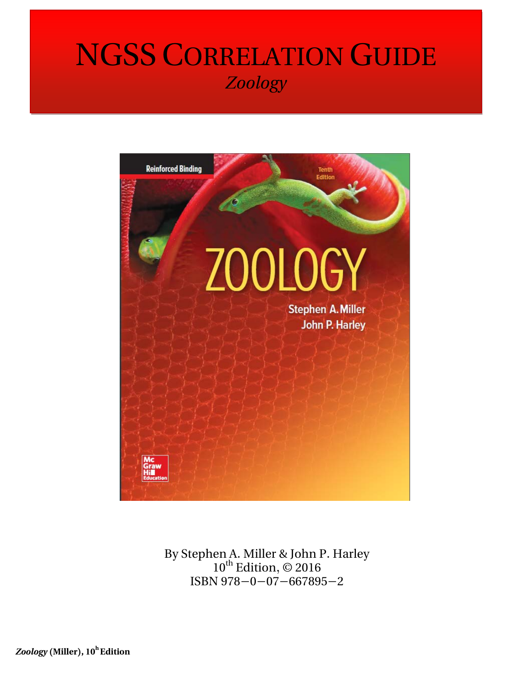## NGSS CORRELATION GUIDE *Zoology*



By Stephen A. Miller & John P. Harley  $10^{th}$  Edition,  $\odot$  2016 ISBN 978-0-07-667895-2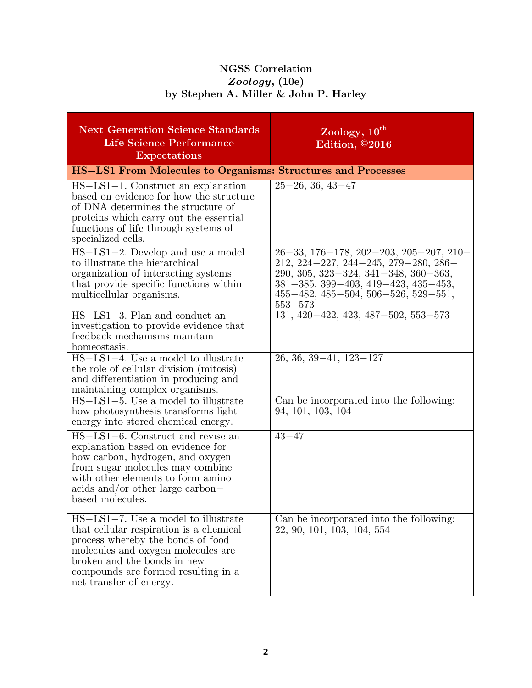## **NGSS Correlation** *Zoology,* **(10e) by Stephen A. Miller & John P. Harley**

| <b>Next Generation Science Standards</b><br>Life Science Performance<br><b>Expectations</b>                                                                                                                                                                            | Zoology, 10 <sup>th</sup><br>Edition, ©2016                                                                                                                                                          |  |
|------------------------------------------------------------------------------------------------------------------------------------------------------------------------------------------------------------------------------------------------------------------------|------------------------------------------------------------------------------------------------------------------------------------------------------------------------------------------------------|--|
| <b>HS-LS1 From Molecules to Organisms: Structures and Processes</b>                                                                                                                                                                                                    |                                                                                                                                                                                                      |  |
| $HS-LS1-1$ . Construct an explanation<br>based on evidence for how the structure<br>of DNA determines the structure of<br>proteins which carry out the essential<br>functions of life through systems of<br>specialized cells.<br>$HS-LS1-2$ . Develop and use a model | $25 - 26, 36, 43 - 47$<br>$26-33, 176-178, 202-203, 205-207, 210-$                                                                                                                                   |  |
| to illustrate the hierarchical<br>organization of interacting systems<br>that provide specific functions within<br>multicellular organisms.                                                                                                                            | $212, 224 - 227, 244 - 245, 279 - 280, 286$<br>$290, 305, 323 - 324, 341 - 348, 360 - 363,$<br>$381-385, 399-403, 419-423, 435-453,$<br>$455 - 482, 485 - 504, 506 - 526, 529 - 551,$<br>$553 - 573$ |  |
| $HS-LS1-3$ . Plan and conduct an<br>investigation to provide evidence that<br>feedback mechanisms maintain<br>homeostasis.                                                                                                                                             | $131, 420 - 422, 423, 487 - 502, 553 - 573$                                                                                                                                                          |  |
| HS-LS1-4. Use a model to illustrate<br>the role of cellular division (mitosis)<br>and differentiation in producing and<br>maintaining complex organisms.                                                                                                               | $26, 36, 39 - 41, 123 - 127$                                                                                                                                                                         |  |
| $HS-LS1-5$ . Use a model to illustrate<br>how photosynthesis transforms light<br>energy into stored chemical energy.                                                                                                                                                   | Can be incorporated into the following:<br>94, 101, 103, 104                                                                                                                                         |  |
| HS-LS1-6. Construct and revise an<br>explanation based on evidence for<br>how carbon, hydrogen, and oxygen<br>from sugar molecules may combine<br>with other elements to form amino<br>$\alpha$ acids and/or other large carbon-<br>based molecules.                   | $43 - 47$                                                                                                                                                                                            |  |
| HS-LS1-7. Use a model to illustrate<br>that cellular respiration is a chemical<br>process whereby the bonds of food<br>molecules and oxygen molecules are<br>broken and the bonds in new<br>compounds are formed resulting in a<br>net transfer of energy.             | Can be incorporated into the following:<br>22, 90, 101, 103, 104, 554                                                                                                                                |  |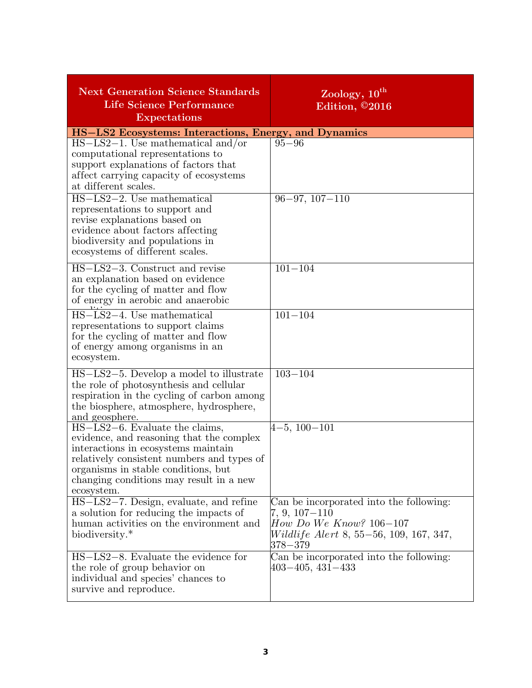| <b>Next Generation Science Standards</b><br><b>Life Science Performance</b><br><b>Expectations</b>                                                                                                                                                                 | Zoology, 10 <sup>th</sup><br>Edition, ©2016                                                                                                                |
|--------------------------------------------------------------------------------------------------------------------------------------------------------------------------------------------------------------------------------------------------------------------|------------------------------------------------------------------------------------------------------------------------------------------------------------|
| HS-LS2 Ecosystems: Interactions, Energy, and Dynamics                                                                                                                                                                                                              |                                                                                                                                                            |
| $HS-LS2-1$ . Use mathematical and/or<br>computational representations to<br>support explanations of factors that<br>affect carrying capacity of ecosystems<br>at different scales.                                                                                 | $95 - 96$                                                                                                                                                  |
| $HS-LS2-2$ . Use mathematical<br>representations to support and<br>revise explanations based on<br>evidence about factors affecting<br>biodiversity and populations in<br>ecosystems of different scales.                                                          | $96 - 97, 107 - 110$                                                                                                                                       |
| HS-LS2-3. Construct and revise<br>an explanation based on evidence<br>for the cycling of matter and flow<br>of energy in aerobic and anaerobic                                                                                                                     | $101 - 104$                                                                                                                                                |
| HS-LS2-4. Use mathematical<br>representations to support claims<br>for the cycling of matter and flow<br>of energy among organisms in an<br>ecosystem.                                                                                                             | $101 - 104$                                                                                                                                                |
| HS-LS2-5. Develop a model to illustrate<br>the role of photosynthesis and cellular<br>respiration in the cycling of carbon among<br>the biosphere, atmosphere, hydrosphere,<br>and geosphere.                                                                      | $103 - 104$                                                                                                                                                |
| $HS-LS2-6$ . Evaluate the claims,<br>evidence, and reasoning that the complex<br>interactions in ecosystems maintain<br>relatively consistent numbers and types of<br>organisms in stable conditions, but<br>changing conditions may result in a new<br>ecosystem. | $4-5, 100-101$                                                                                                                                             |
| HS-LS2-7. Design, evaluate, and refine<br>a solution for reducing the impacts of<br>human activities on the environment and<br>biodiversity.*                                                                                                                      | Can be incorporated into the following:<br>$7, 9, 107 - 110$<br>$How Do We Know? 106-107$<br><i>Wildlife Alert</i> 8, 55–56, 109, 167, 347,<br>$378 - 379$ |
| HS-LS2-8. Evaluate the evidence for<br>the role of group behavior on<br>individual and species' chances to<br>survive and reproduce.                                                                                                                               | Can be incorporated into the following:<br>$403 - 405, 431 - 433$                                                                                          |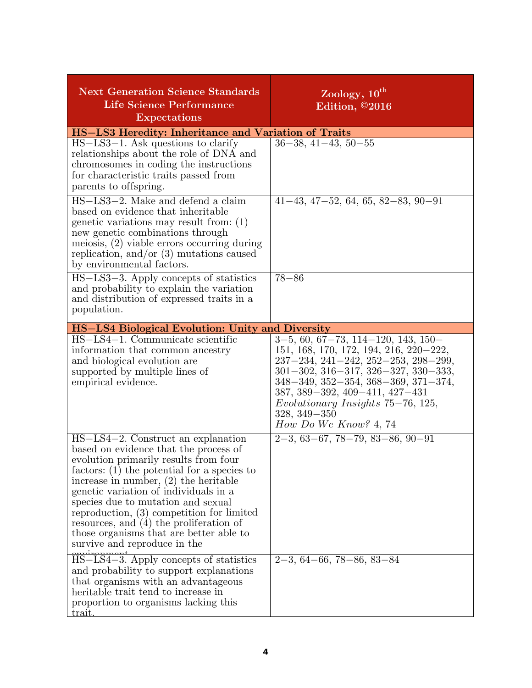| <b>Next Generation Science Standards</b><br>Life Science Performance<br><b>Expectations</b>                                                                                                                                                                                                                                                                                                                                                                                                                                                                                                                                                                                                 | Zoology, 10 <sup>th</sup><br>Edition, $\overline{\odot}20\overline{16}$                                                                                                                                                                                                                                                                       |  |
|---------------------------------------------------------------------------------------------------------------------------------------------------------------------------------------------------------------------------------------------------------------------------------------------------------------------------------------------------------------------------------------------------------------------------------------------------------------------------------------------------------------------------------------------------------------------------------------------------------------------------------------------------------------------------------------------|-----------------------------------------------------------------------------------------------------------------------------------------------------------------------------------------------------------------------------------------------------------------------------------------------------------------------------------------------|--|
| HS-LS3 Heredity: Inheritance and Variation of Traits                                                                                                                                                                                                                                                                                                                                                                                                                                                                                                                                                                                                                                        |                                                                                                                                                                                                                                                                                                                                               |  |
| $HS-LS3-1$ . Ask questions to clarify<br>relationships about the role of DNA and<br>chromosomes in coding the instructions<br>for characteristic traits passed from<br>parents to offspring.                                                                                                                                                                                                                                                                                                                                                                                                                                                                                                | $36-38, 41-43, 50-55$                                                                                                                                                                                                                                                                                                                         |  |
| $\overline{HS - LS3 - 2}$ . Make and defend a claim<br>based on evidence that inheritable<br>genetic variations may result from: $(1)$<br>new genetic combinations through<br>meiosis, $(2)$ viable errors occurring during<br>replication, and/or $(3)$ mutations caused<br>by environmental factors.                                                                                                                                                                                                                                                                                                                                                                                      | $41-43, 47-52, 64, 65, 82-83, 90-91$                                                                                                                                                                                                                                                                                                          |  |
| $HS-LS3-3$ . Apply concepts of statistics<br>and probability to explain the variation<br>and distribution of expressed traits in a<br>population.                                                                                                                                                                                                                                                                                                                                                                                                                                                                                                                                           | $78 - 86$                                                                                                                                                                                                                                                                                                                                     |  |
| HS-LS4 Biological Evolution: Unity and Diversity                                                                                                                                                                                                                                                                                                                                                                                                                                                                                                                                                                                                                                            |                                                                                                                                                                                                                                                                                                                                               |  |
| HS-LS4-1. Communicate scientific<br>information that common ancestry<br>and biological evolution are<br>supported by multiple lines of<br>empirical evidence.                                                                                                                                                                                                                                                                                                                                                                                                                                                                                                                               | $3-5, 60, 67-73, 114-120, 143, 150-$<br>151, 168, 170, 172, 194, 216, 220–222,<br>$237-234, 241-242, 252-253, 298-299,$<br>$301-302, 316-317, 326-327, 330-333,$<br>$348 - 349, 352 - 354, 368 - 369, 371 - 374,$<br>$387, 389 - 392, 409 - 411, 427 - 431$<br>Evolutionary Insights 75-76, 125,<br>$328, 349 - 350$<br>How Do We Know? 4, 74 |  |
| HS-LS4-2. Construct an explanation<br>based on evidence that the process of<br>evolution primarily results from four<br>factors: $(1)$ the potential for a species to<br>increase in number, $(2)$ the heritable<br>genetic variation of individuals in a<br>species due to mutation and sexual<br>reproduction, $(3)$ competition for limited<br>resources, and $(4)$ the proliferation of<br>those organisms that are better able to<br>survive and reproduce in the<br>HS-LS4-3. Apply concepts of statistics<br>and probability to support explanations<br>that organisms with an advantageous<br>heritable trait tend to increase in<br>proportion to organisms lacking this<br>trait. | $2-3, 63-67, 78-79, 83-86, 90-91$<br>$2-3, 64-66, 78-86, 83-84$                                                                                                                                                                                                                                                                               |  |